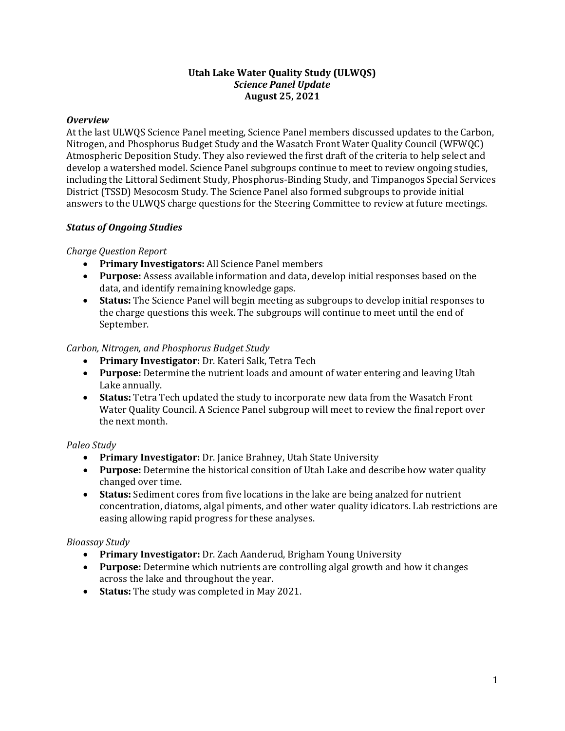### **Utah Lake Water Quality Study (ULWQS)** *Science Panel Update* **August 25, 2021**

#### *Overview*

At the last ULWQS Science Panel meeting, Science Panel members discussed updates to the Carbon, Nitrogen, and Phosphorus Budget Study and the Wasatch Front Water Quality Council (WFWQC) Atmospheric Deposition Study. They also reviewed the first draft of the criteria to help select and develop a watershed model. Science Panel subgroups continue to meet to review ongoing studies, including the Littoral Sediment Study, Phosphorus-Binding Study, and Timpanogos Special Services District (TSSD) Mesocosm Study. The Science Panel also formed subgroups to provide initial answers to the ULWQS charge questions for the Steering Committee to review at future meetings.

# *Status of Ongoing Studies*

# *Charge Question Report*

- **Primary Investigators:** All Science Panel members
- **Purpose:** Assess available information and data, develop initial responses based on the data, and identify remaining knowledge gaps.
- **Status:** The Science Panel will begin meeting as subgroups to develop initial responses to the charge questions this week. The subgroups will continue to meet until the end of September.

# *Carbon, Nitrogen, and Phosphorus Budget Study*

- **Primary Investigator:** Dr. Kateri Salk, Tetra Tech
- **Purpose:** Determine the nutrient loads and amount of water entering and leaving Utah Lake annually.
- **Status:** Tetra Tech updated the study to incorporate new data from the Wasatch Front Water Quality Council. A Science Panel subgroup will meet to review the final report over the next month.

# *Paleo Study*

- **Primary Investigator:** Dr. Janice Brahney, Utah State University
- **Purpose:** Determine the historical consition of Utah Lake and describe how water quality changed over time.
- **Status:** Sediment cores from five locations in the lake are being analzed for nutrient concentration, diatoms, algal piments, and other water quality idicators. Lab restrictions are easing allowing rapid progress for these analyses.

# *Bioassay Study*

- **Primary Investigator:** Dr. Zach Aanderud, Brigham Young University
- **Purpose:** Determine which nutrients are controlling algal growth and how it changes across the lake and throughout the year.
- **Status:** The study was completed in May 2021.